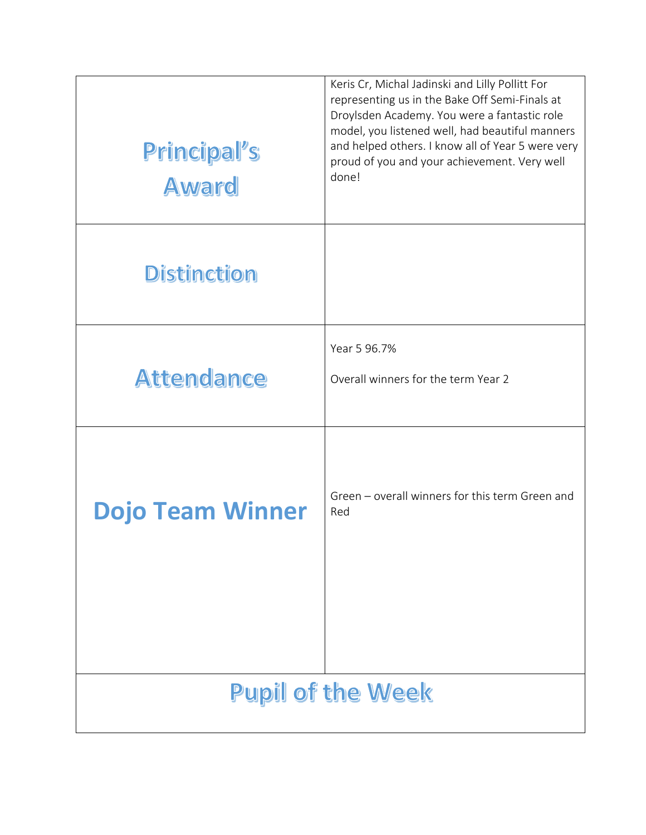| Principal's<br><b>Award</b> | Keris Cr, Michal Jadinski and Lilly Pollitt For<br>representing us in the Bake Off Semi-Finals at<br>Droylsden Academy. You were a fantastic role<br>model, you listened well, had beautiful manners<br>and helped others. I know all of Year 5 were very<br>proud of you and your achievement. Very well<br>done! |  |
|-----------------------------|--------------------------------------------------------------------------------------------------------------------------------------------------------------------------------------------------------------------------------------------------------------------------------------------------------------------|--|
| <b>Distinction</b>          |                                                                                                                                                                                                                                                                                                                    |  |
|                             | Year 5 96.7%                                                                                                                                                                                                                                                                                                       |  |
| <b>Attendance</b>           | Overall winners for the term Year 2                                                                                                                                                                                                                                                                                |  |
| <b>Dojo Team Winner</b>     | Green - overall winners for this term Green and<br>Red                                                                                                                                                                                                                                                             |  |
|                             |                                                                                                                                                                                                                                                                                                                    |  |
| <b>Pupil of the Week</b>    |                                                                                                                                                                                                                                                                                                                    |  |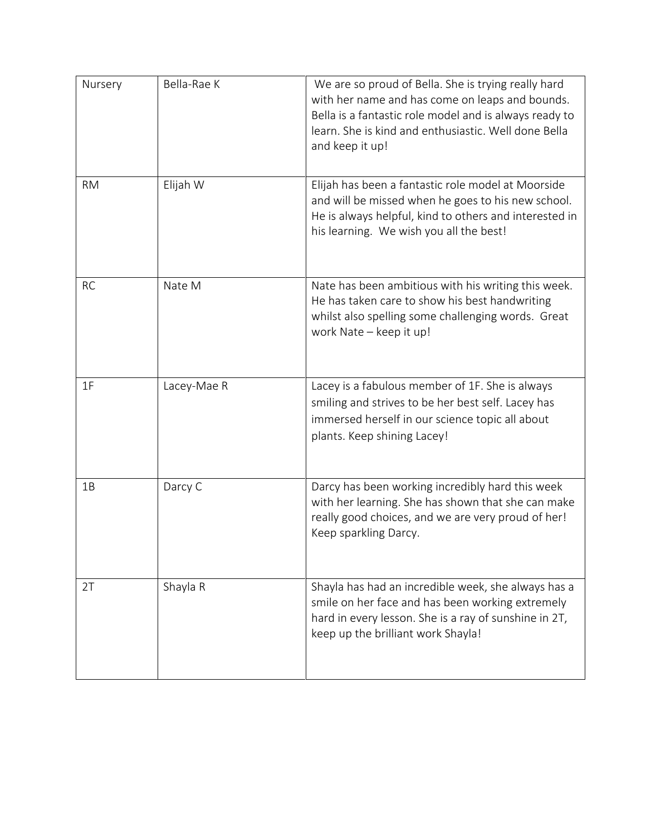| Nursery   | Bella-Rae K | We are so proud of Bella. She is trying really hard<br>with her name and has come on leaps and bounds.<br>Bella is a fantastic role model and is always ready to<br>learn. She is kind and enthusiastic. Well done Bella<br>and keep it up! |
|-----------|-------------|---------------------------------------------------------------------------------------------------------------------------------------------------------------------------------------------------------------------------------------------|
| <b>RM</b> | Elijah W    | Elijah has been a fantastic role model at Moorside<br>and will be missed when he goes to his new school.<br>He is always helpful, kind to others and interested in<br>his learning. We wish you all the best!                               |
| <b>RC</b> | Nate M      | Nate has been ambitious with his writing this week.<br>He has taken care to show his best handwriting<br>whilst also spelling some challenging words. Great<br>work Nate - keep it up!                                                      |
| 1F        | Lacey-Mae R | Lacey is a fabulous member of 1F. She is always<br>smiling and strives to be her best self. Lacey has<br>immersed herself in our science topic all about<br>plants. Keep shining Lacey!                                                     |
| 1B        | Darcy C     | Darcy has been working incredibly hard this week<br>with her learning. She has shown that she can make<br>really good choices, and we are very proud of her!<br>Keep sparkling Darcy.                                                       |
| 2T        | Shayla R    | Shayla has had an incredible week, she always has a<br>smile on her face and has been working extremely<br>hard in every lesson. She is a ray of sunshine in 2T,<br>keep up the brilliant work Shayla!                                      |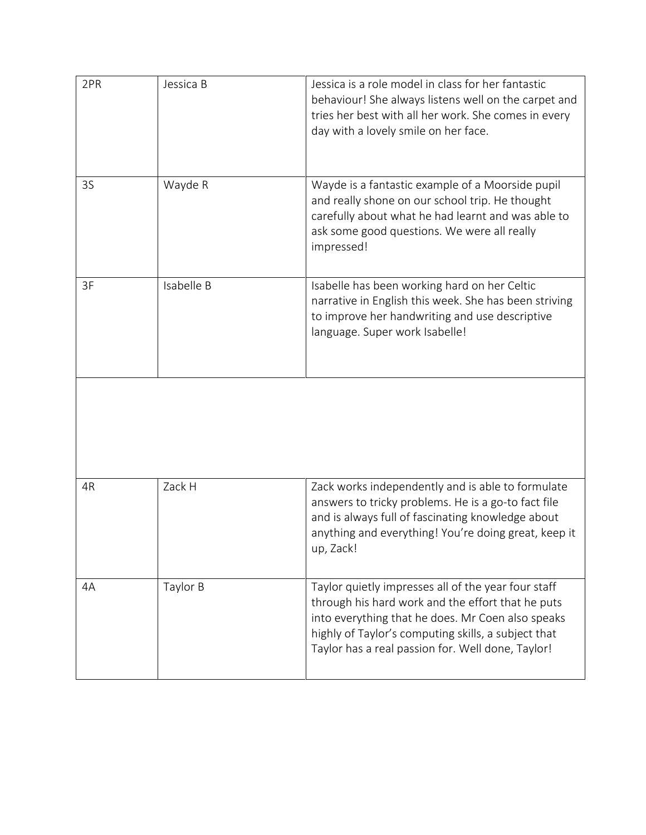| 2PR | Jessica B  | Jessica is a role model in class for her fantastic<br>behaviour! She always listens well on the carpet and<br>tries her best with all her work. She comes in every<br>day with a lovely smile on her face.                                                                |
|-----|------------|---------------------------------------------------------------------------------------------------------------------------------------------------------------------------------------------------------------------------------------------------------------------------|
| 3S  | Wayde R    | Wayde is a fantastic example of a Moorside pupil<br>and really shone on our school trip. He thought<br>carefully about what he had learnt and was able to<br>ask some good questions. We were all really<br>impressed!                                                    |
| 3F  | Isabelle B | Isabelle has been working hard on her Celtic<br>narrative in English this week. She has been striving<br>to improve her handwriting and use descriptive<br>language. Super work Isabelle!                                                                                 |
|     |            |                                                                                                                                                                                                                                                                           |
| 4R  | Zack H     | Zack works independently and is able to formulate<br>answers to tricky problems. He is a go-to fact file<br>and is always full of fascinating knowledge about<br>anything and everything! You're doing great, keep it<br>up, Zack!                                        |
| 4A  | Taylor B   | Taylor quietly impresses all of the year four staff<br>through his hard work and the effort that he puts<br>into everything that he does. Mr Coen also speaks<br>highly of Taylor's computing skills, a subject that<br>Taylor has a real passion for. Well done, Taylor! |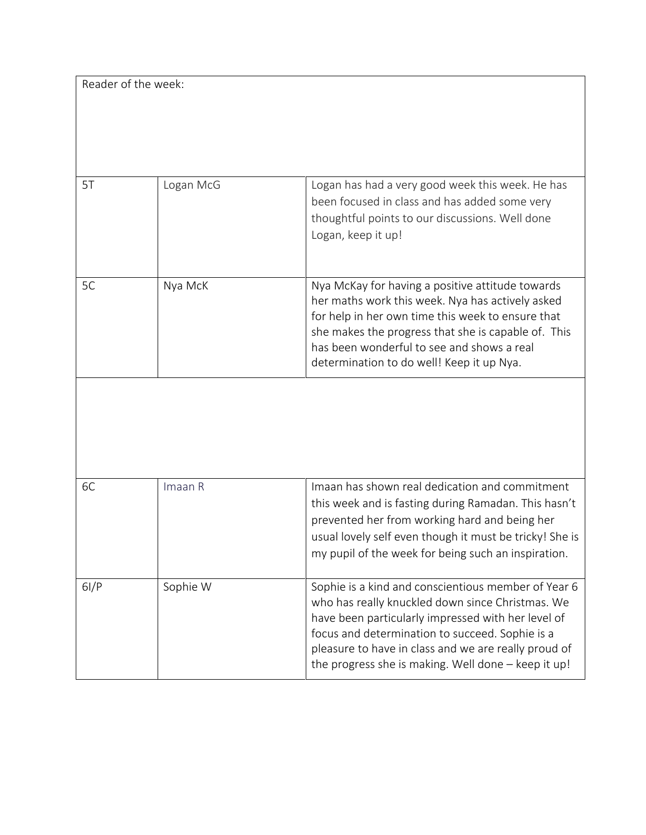Reader of the week:

| 5T | Logan McG | Logan has had a very good week this week. He has<br>been focused in class and has added some very<br>thoughtful points to our discussions. Well done<br>Logan, keep it up!                                                                                                                                  |
|----|-----------|-------------------------------------------------------------------------------------------------------------------------------------------------------------------------------------------------------------------------------------------------------------------------------------------------------------|
| 5C | Nya McK   | Nya McKay for having a positive attitude towards<br>her maths work this week. Nya has actively asked<br>for help in her own time this week to ensure that<br>she makes the progress that she is capable of. This<br>has been wonderful to see and shows a real<br>determination to do well! Keep it up Nya. |
|    |           |                                                                                                                                                                                                                                                                                                             |

| 6C   | Imaan R  | Imaan has shown real dedication and commitment<br>this week and is fasting during Ramadan. This hasn't<br>prevented her from working hard and being her<br>usual lovely self even though it must be tricky! She is<br>my pupil of the week for being such an inspiration.                                                       |
|------|----------|---------------------------------------------------------------------------------------------------------------------------------------------------------------------------------------------------------------------------------------------------------------------------------------------------------------------------------|
| 6I/P | Sophie W | Sophie is a kind and conscientious member of Year 6<br>who has really knuckled down since Christmas. We<br>have been particularly impressed with her level of<br>focus and determination to succeed. Sophie is a<br>pleasure to have in class and we are really proud of<br>the progress she is making. Well done - keep it up! |